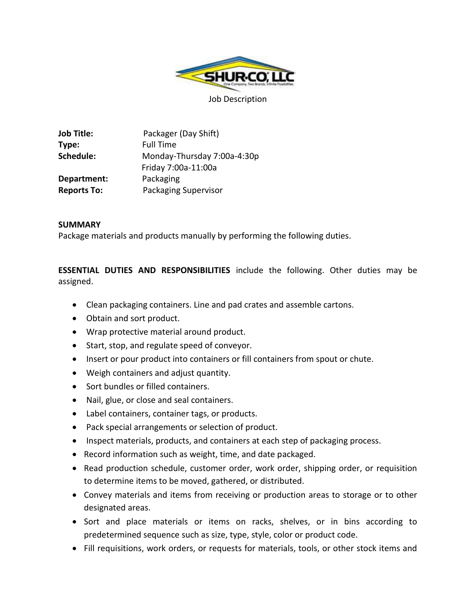

**Job Title:** Packager (Day Shift) **Type:** Full Time **Schedule:** Monday-Thursday 7:00a-4:30p Friday 7:00a-11:00a **Department:** Packaging **Reports To:** Packaging Supervisor

## **SUMMARY**

Package materials and products manually by performing the following duties.

**ESSENTIAL DUTIES AND RESPONSIBILITIES** include the following. Other duties may be assigned.

- Clean packaging containers. Line and pad crates and assemble cartons.
- Obtain and sort product.
- Wrap protective material around product.
- Start, stop, and regulate speed of conveyor.
- Insert or pour product into containers or fill containers from spout or chute.
- Weigh containers and adjust quantity.
- Sort bundles or filled containers.
- Nail, glue, or close and seal containers.
- Label containers, container tags, or products.
- Pack special arrangements or selection of product.
- Inspect materials, products, and containers at each step of packaging process.
- Record information such as weight, time, and date packaged.
- Read production schedule, customer order, work order, shipping order, or requisition to determine items to be moved, gathered, or distributed.
- Convey materials and items from receiving or production areas to storage or to other designated areas.
- Sort and place materials or items on racks, shelves, or in bins according to predetermined sequence such as size, type, style, color or product code.
- Fill requisitions, work orders, or requests for materials, tools, or other stock items and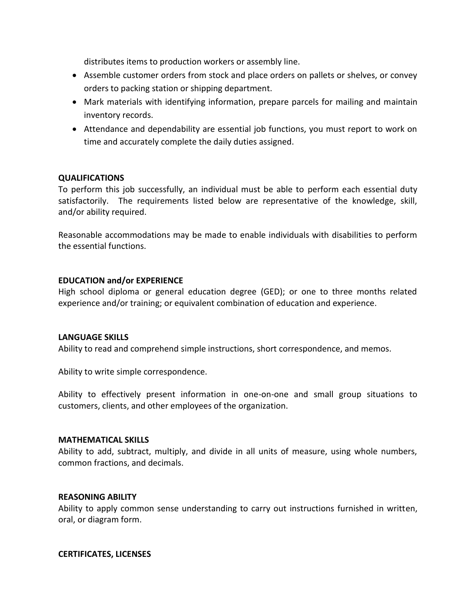distributes items to production workers or assembly line.

- Assemble customer orders from stock and place orders on pallets or shelves, or convey orders to packing station or shipping department.
- Mark materials with identifying information, prepare parcels for mailing and maintain inventory records.
- Attendance and dependability are essential job functions, you must report to work on time and accurately complete the daily duties assigned.

# **QUALIFICATIONS**

To perform this job successfully, an individual must be able to perform each essential duty satisfactorily. The requirements listed below are representative of the knowledge, skill, and/or ability required.

Reasonable accommodations may be made to enable individuals with disabilities to perform the essential functions.

## **EDUCATION and/or EXPERIENCE**

High school diploma or general education degree (GED); or one to three months related experience and/or training; or equivalent combination of education and experience.

## **LANGUAGE SKILLS**

Ability to read and comprehend simple instructions, short correspondence, and memos.

Ability to write simple correspondence.

Ability to effectively present information in one-on-one and small group situations to customers, clients, and other employees of the organization.

#### **MATHEMATICAL SKILLS**

Ability to add, subtract, multiply, and divide in all units of measure, using whole numbers, common fractions, and decimals.

## **REASONING ABILITY**

Ability to apply common sense understanding to carry out instructions furnished in written, oral, or diagram form.

## **CERTIFICATES, LICENSES**